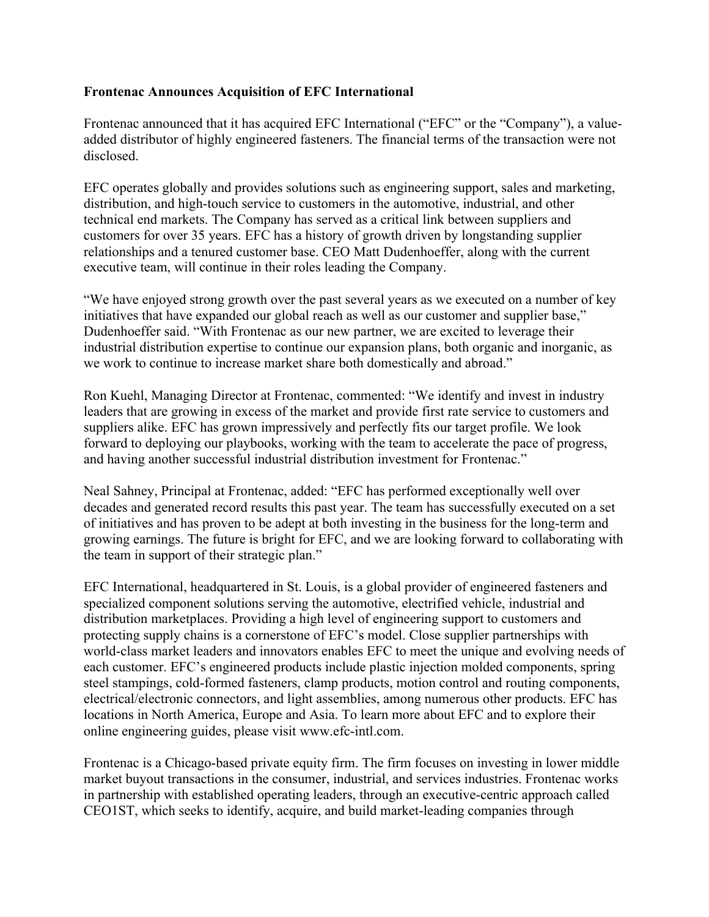## **Frontenac Announces Acquisition of EFC International**

Frontenac announced that it has acquired EFC International ("EFC" or the "Company"), a valueadded distributor of highly engineered fasteners. The financial terms of the transaction were not disclosed.

EFC operates globally and provides solutions such as engineering support, sales and marketing, distribution, and high-touch service to customers in the automotive, industrial, and other technical end markets. The Company has served as a critical link between suppliers and customers for over 35 years. EFC has a history of growth driven by longstanding supplier relationships and a tenured customer base. CEO Matt Dudenhoeffer, along with the current executive team, will continue in their roles leading the Company.

"We have enjoyed strong growth over the past several years as we executed on a number of key initiatives that have expanded our global reach as well as our customer and supplier base," Dudenhoeffer said. "With Frontenac as our new partner, we are excited to leverage their industrial distribution expertise to continue our expansion plans, both organic and inorganic, as we work to continue to increase market share both domestically and abroad."

Ron Kuehl, Managing Director at Frontenac, commented: "We identify and invest in industry leaders that are growing in excess of the market and provide first rate service to customers and suppliers alike. EFC has grown impressively and perfectly fits our target profile. We look forward to deploying our playbooks, working with the team to accelerate the pace of progress, and having another successful industrial distribution investment for Frontenac."

Neal Sahney, Principal at Frontenac, added: "EFC has performed exceptionally well over decades and generated record results this past year. The team has successfully executed on a set of initiatives and has proven to be adept at both investing in the business for the long-term and growing earnings. The future is bright for EFC, and we are looking forward to collaborating with the team in support of their strategic plan."

EFC International, headquartered in St. Louis, is a global provider of engineered fasteners and specialized component solutions serving the automotive, electrified vehicle, industrial and distribution marketplaces. Providing a high level of engineering support to customers and protecting supply chains is a cornerstone of EFC's model. Close supplier partnerships with world-class market leaders and innovators enables EFC to meet the unique and evolving needs of each customer. EFC's engineered products include plastic injection molded components, spring steel stampings, cold-formed fasteners, clamp products, motion control and routing components, electrical/electronic connectors, and light assemblies, among numerous other products. EFC has locations in North America, Europe and Asia. To learn more about EFC and to explore their online engineering guides, please visit www.efc-intl.com.

Frontenac is a Chicago-based private equity firm. The firm focuses on investing in lower middle market buyout transactions in the consumer, industrial, and services industries. Frontenac works in partnership with established operating leaders, through an executive-centric approach called CEO1ST, which seeks to identify, acquire, and build market-leading companies through